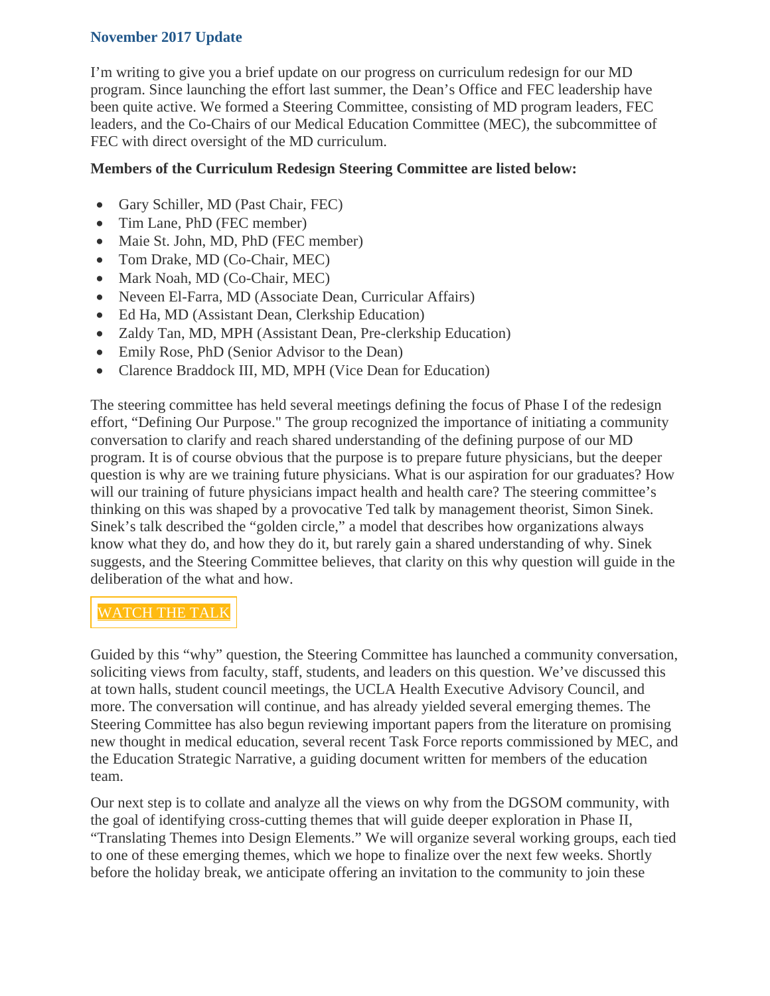## **November 2017 Update**

I'm writing to give you a brief update on our progress on curriculum redesign for our MD program. Since launching the effort last summer, the Dean's Office and FEC leadership have been quite active. We formed a Steering Committee, consisting of MD program leaders, FEC leaders, and the Co-Chairs of our Medical Education Committee (MEC), the subcommittee of FEC with direct oversight of the MD curriculum.

## **Members of the Curriculum Redesign Steering Committee are listed below:**

- Gary Schiller, MD (Past Chair, FEC)
- Tim Lane, PhD (FEC member)
- Maie St. John, MD, PhD (FEC member)
- Tom Drake, MD (Co-Chair, MEC)
- Mark Noah, MD (Co-Chair, MEC)
- Neveen El-Farra, MD (Associate Dean, Curricular Affairs)
- Ed Ha, MD (Assistant Dean, Clerkship Education)
- Zaldy Tan, MD, MPH (Assistant Dean, Pre-clerkship Education)
- Emily Rose, PhD (Senior Advisor to the Dean)
- Clarence Braddock III, MD, MPH (Vice Dean for Education)

The steering committee has held several meetings defining the focus of Phase I of the redesign effort, "Defining Our Purpose." The group recognized the importance of initiating a community conversation to clarify and reach shared understanding of the defining purpose of our MD program. It is of course obvious that the purpose is to prepare future physicians, but the deeper question is why are we training future physicians. What is our aspiration for our graduates? How will our training of future physicians impact health and health care? The steering committee's thinking on this was shaped by a provocative Ted talk by management theorist, Simon Sinek. Sinek's talk described the "golden circle," a model that describes how organizations always know what they do, and how they do it, but rarely gain a shared understanding of why. Sinek suggests, and the Steering Committee believes, that clarity on this why question will guide in the deliberation of the what and how.

## [WATCH](https://www.youtube.com/watch?v=IPYeCltXpxw) THE TALK

Guided by this "why" question, the Steering Committee has launched a community conversation, soliciting views from faculty, staff, students, and leaders on this question. We've discussed this at town halls, student council meetings, the UCLA Health Executive Advisory Council, and more. The conversation will continue, and has already yielded several emerging themes. The Steering Committee has also begun reviewing important papers from the literature on promising new thought in medical education, several recent Task Force reports commissioned by MEC, and the Education Strategic Narrative, a guiding document written for members of the education team.

Our next step is to collate and analyze all the views on why from the DGSOM community, with the goal of identifying cross-cutting themes that will guide deeper exploration in Phase II, "Translating Themes into Design Elements." We will organize several working groups, each tied to one of these emerging themes, which we hope to finalize over the next few weeks. Shortly before the holiday break, we anticipate offering an invitation to the community to join these